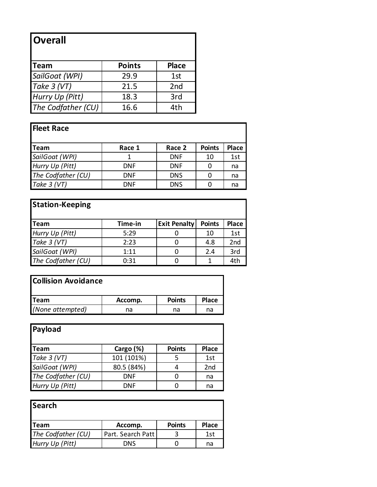## **Overall**

| Team               | <b>Points</b> | <b>Place</b>    |
|--------------------|---------------|-----------------|
| SailGoat (WPI)     | 29.9          | 1st             |
| Take 3 (VT)        | 21.5          | 2 <sub>nd</sub> |
| Hurry Up (Pitt)    | 18.3          | 3rd             |
| The Codfather (CU) | 16.6          | 4th             |

## **Fleet Race**

| <b>ITeam</b>       | Race 1     | Race 2     | <b>Points</b> | <b>Place</b> |
|--------------------|------------|------------|---------------|--------------|
| SailGoat (WPI)     |            | <b>DNF</b> | 10            | 1st          |
| Hurry Up (Pitt)    | <b>DNF</b> | <b>DNF</b> | 0             | na           |
| The Codfather (CU) | <b>DNF</b> | <b>DNS</b> | 0             | na           |
| Take $3 (VT)$      | <b>DNF</b> | <b>DNS</b> | O             | na           |

| <b>Station-Keeping</b> |         |                     |               |                 |
|------------------------|---------|---------------------|---------------|-----------------|
| <b>ITeam</b>           | Time-in | <b>Exit Penalty</b> | <b>Points</b> | <b>Place</b>    |
| Hurry Up (Pitt)        | 5:29    |                     | 10            | 1st             |
| Take $3 (VT)$          | 2:23    | O                   | 4.8           | 2 <sub>nd</sub> |
| SailGoat (WPI)         | 1:11    | 0                   | 2.4           | 3rd             |
| The Codfather (CU)     | 0:31    | O                   |               | 4th             |

## **Collision Avoidance**

| <b>ITeam</b>     | Accomp. | <b>Points</b> | <b>Place</b> |
|------------------|---------|---------------|--------------|
| (None attempted) | na      | na            | na           |

| Payload            |            |               |                 |
|--------------------|------------|---------------|-----------------|
| ∥Team              | Cargo (%)  | <b>Points</b> | <b>Place</b>    |
| Take 3 (VT)        | 101 (101%) | 5             | 1st             |
| SailGoat (WPI)     | 80.5 (84%) |               | 2 <sub>nd</sub> |
| The Codfather (CU) | <b>DNF</b> |               | na              |
| Hurry Up (Pitt)    | DNF        |               | na              |

| <b>Search</b>      |                   |               |              |
|--------------------|-------------------|---------------|--------------|
| <b>ITeam</b>       | Accomp.           | <b>Points</b> | <b>Place</b> |
| The Codfather (CU) | Part. Search Patt |               | 1st          |
| Hurry Up (Pitt)    | <b>DNS</b>        |               | na           |